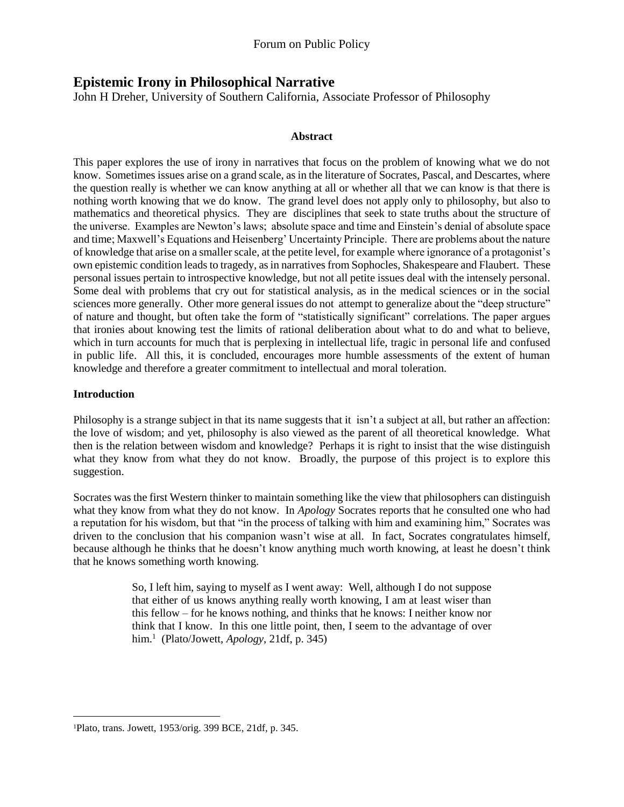# **Epistemic Irony in Philosophical Narrative**

John H Dreher, University of Southern California, Associate Professor of Philosophy

#### **Abstract**

This paper explores the use of irony in narratives that focus on the problem of knowing what we do not know. Sometimes issues arise on a grand scale, as in the literature of Socrates, Pascal, and Descartes, where the question really is whether we can know anything at all or whether all that we can know is that there is nothing worth knowing that we do know. The grand level does not apply only to philosophy, but also to mathematics and theoretical physics. They are disciplines that seek to state truths about the structure of the universe. Examples are Newton's laws; absolute space and time and Einstein's denial of absolute space and time; Maxwell's Equations and Heisenberg' Uncertainty Principle. There are problems about the nature of knowledge that arise on a smaller scale, at the petite level, for example where ignorance of a protagonist's own epistemic condition leads to tragedy, as in narratives from Sophocles, Shakespeare and Flaubert. These personal issues pertain to introspective knowledge, but not all petite issues deal with the intensely personal. Some deal with problems that cry out for statistical analysis, as in the medical sciences or in the social sciences more generally. Other more general issues do not attempt to generalize about the "deep structure" of nature and thought, but often take the form of "statistically significant" correlations. The paper argues that ironies about knowing test the limits of rational deliberation about what to do and what to believe, which in turn accounts for much that is perplexing in intellectual life, tragic in personal life and confused in public life. All this, it is concluded, encourages more humble assessments of the extent of human knowledge and therefore a greater commitment to intellectual and moral toleration.

## **Introduction**

 $\overline{a}$ 

Philosophy is a strange subject in that its name suggests that it isn't a subject at all, but rather an affection: the love of wisdom; and yet, philosophy is also viewed as the parent of all theoretical knowledge. What then is the relation between wisdom and knowledge? Perhaps it is right to insist that the wise distinguish what they know from what they do not know. Broadly, the purpose of this project is to explore this suggestion.

Socrates was the first Western thinker to maintain something like the view that philosophers can distinguish what they know from what they do not know. In *Apology* Socrates reports that he consulted one who had a reputation for his wisdom, but that "in the process of talking with him and examining him," Socrates was driven to the conclusion that his companion wasn't wise at all. In fact, Socrates congratulates himself, because although he thinks that he doesn't know anything much worth knowing, at least he doesn't think that he knows something worth knowing.

> So, I left him, saying to myself as I went away: Well, although I do not suppose that either of us knows anything really worth knowing, I am at least wiser than this fellow – for he knows nothing, and thinks that he knows: I neither know nor think that I know. In this one little point, then, I seem to the advantage of over him.<sup>1</sup> (Plato/Jowett, *Apology*, 21df, p. 345)

<sup>1</sup>Plato, trans. Jowett, 1953/orig. 399 BCE, 21df, p. 345.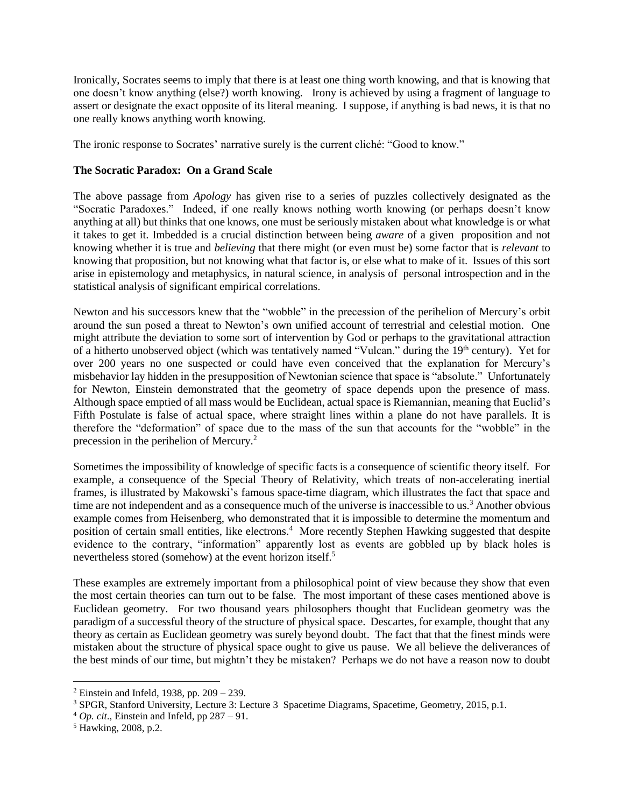Ironically, Socrates seems to imply that there is at least one thing worth knowing, and that is knowing that one doesn't know anything (else?) worth knowing. Irony is achieved by using a fragment of language to assert or designate the exact opposite of its literal meaning. I suppose, if anything is bad news, it is that no one really knows anything worth knowing.

The ironic response to Socrates' narrative surely is the current cliché: "Good to know."

## **The Socratic Paradox: On a Grand Scale**

The above passage from *Apology* has given rise to a series of puzzles collectively designated as the "Socratic Paradoxes." Indeed, if one really knows nothing worth knowing (or perhaps doesn't know anything at all) but thinks that one knows, one must be seriously mistaken about what knowledge is or what it takes to get it. Imbedded is a crucial distinction between being *aware* of a given proposition and not knowing whether it is true and *believing* that there might (or even must be) some factor that is *relevant* to knowing that proposition, but not knowing what that factor is, or else what to make of it. Issues of this sort arise in epistemology and metaphysics, in natural science, in analysis of personal introspection and in the statistical analysis of significant empirical correlations.

Newton and his successors knew that the "wobble" in the precession of the perihelion of Mercury's orbit around the sun posed a threat to Newton's own unified account of terrestrial and celestial motion. One might attribute the deviation to some sort of intervention by God or perhaps to the gravitational attraction of a hitherto unobserved object (which was tentatively named "Vulcan." during the 19th century). Yet for over 200 years no one suspected or could have even conceived that the explanation for Mercury's misbehavior lay hidden in the presupposition of Newtonian science that space is "absolute." Unfortunately for Newton, Einstein demonstrated that the geometry of space depends upon the presence of mass. Although space emptied of all mass would be Euclidean, actual space is Riemannian, meaning that Euclid's Fifth Postulate is false of actual space, where straight lines within a plane do not have parallels. It is therefore the "deformation" of space due to the mass of the sun that accounts for the "wobble" in the precession in the perihelion of Mercury.<sup>2</sup>

Sometimes the impossibility of knowledge of specific facts is a consequence of scientific theory itself. For example, a consequence of the Special Theory of Relativity, which treats of non-accelerating inertial frames, is illustrated by Makowski's famous space-time diagram, which illustrates the fact that space and time are not independent and as a consequence much of the universe is inaccessible to us.<sup>3</sup> Another obvious example comes from Heisenberg, who demonstrated that it is impossible to determine the momentum and position of certain small entities, like electrons.<sup>4</sup> More recently Stephen Hawking suggested that despite evidence to the contrary, "information" apparently lost as events are gobbled up by black holes is nevertheless stored (somehow) at the event horizon itself.<sup>5</sup>

These examples are extremely important from a philosophical point of view because they show that even the most certain theories can turn out to be false. The most important of these cases mentioned above is Euclidean geometry. For two thousand years philosophers thought that Euclidean geometry was the paradigm of a successful theory of the structure of physical space. Descartes, for example, thought that any theory as certain as Euclidean geometry was surely beyond doubt. The fact that that the finest minds were mistaken about the structure of physical space ought to give us pause. We all believe the deliverances of the best minds of our time, but mightn't they be mistaken? Perhaps we do not have a reason now to doubt

<sup>&</sup>lt;sup>2</sup> Einstein and Infeld, 1938, pp.  $209 - 239$ .

<sup>3</sup> SPGR, Stanford University, Lecture 3: Lecture 3 Spacetime Diagrams, Spacetime, Geometry, 2015, p.1.

 $^{4}$  *Op. cit.*, Einstein and Infeld, pp 287 – 91.

<sup>5</sup> Hawking, 2008, p.2.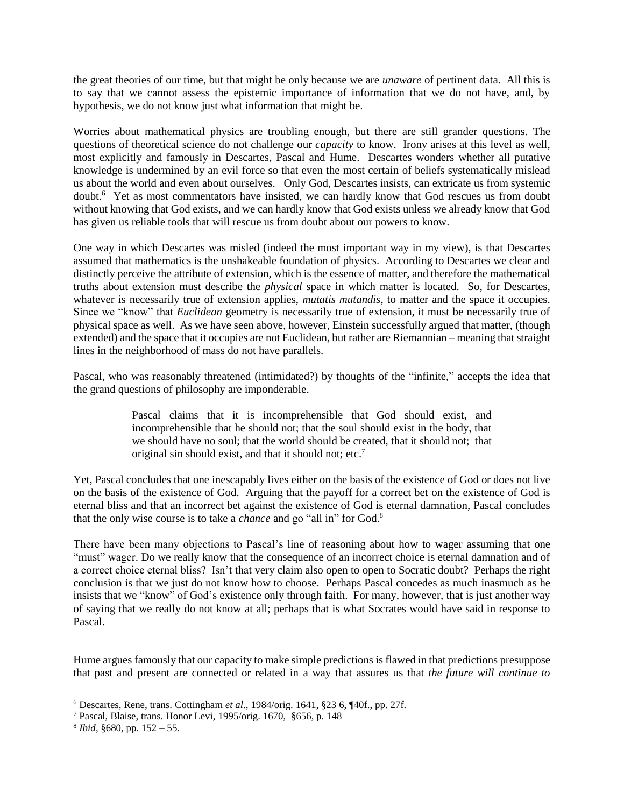the great theories of our time, but that might be only because we are *unaware* of pertinent data. All this is to say that we cannot assess the epistemic importance of information that we do not have, and, by hypothesis, we do not know just what information that might be.

Worries about mathematical physics are troubling enough, but there are still grander questions. The questions of theoretical science do not challenge our *capacity* to know. Irony arises at this level as well, most explicitly and famously in Descartes, Pascal and Hume. Descartes wonders whether all putative knowledge is undermined by an evil force so that even the most certain of beliefs systematically mislead us about the world and even about ourselves. Only God, Descartes insists, can extricate us from systemic doubt.<sup>6</sup> Yet as most commentators have insisted, we can hardly know that God rescues us from doubt without knowing that God exists, and we can hardly know that God exists unless we already know that God has given us reliable tools that will rescue us from doubt about our powers to know.

One way in which Descartes was misled (indeed the most important way in my view), is that Descartes assumed that mathematics is the unshakeable foundation of physics. According to Descartes we clear and distinctly perceive the attribute of extension, which is the essence of matter, and therefore the mathematical truths about extension must describe the *physical* space in which matter is located. So, for Descartes, whatever is necessarily true of extension applies, *mutatis mutandis*, to matter and the space it occupies. Since we "know" that *Euclidean* geometry is necessarily true of extension, it must be necessarily true of physical space as well. As we have seen above, however, Einstein successfully argued that matter, (though extended) and the space that it occupies are not Euclidean, but rather are Riemannian – meaning that straight lines in the neighborhood of mass do not have parallels.

Pascal, who was reasonably threatened (intimidated?) by thoughts of the "infinite," accepts the idea that the grand questions of philosophy are imponderable.

> Pascal claims that it is incomprehensible that God should exist, and incomprehensible that he should not; that the soul should exist in the body, that we should have no soul; that the world should be created, that it should not; that original sin should exist, and that it should not; etc.<sup>7</sup>

Yet, Pascal concludes that one inescapably lives either on the basis of the existence of God or does not live on the basis of the existence of God. Arguing that the payoff for a correct bet on the existence of God is eternal bliss and that an incorrect bet against the existence of God is eternal damnation, Pascal concludes that the only wise course is to take a *chance* and go "all in" for God.<sup>8</sup>

There have been many objections to Pascal's line of reasoning about how to wager assuming that one "must" wager. Do we really know that the consequence of an incorrect choice is eternal damnation and of a correct choice eternal bliss? Isn't that very claim also open to open to Socratic doubt? Perhaps the right conclusion is that we just do not know how to choose. Perhaps Pascal concedes as much inasmuch as he insists that we "know" of God's existence only through faith. For many, however, that is just another way of saying that we really do not know at all; perhaps that is what Socrates would have said in response to Pascal.

Hume argues famously that our capacity to make simple predictions is flawed in that predictions presuppose that past and present are connected or related in a way that assures us that *the future will continue to* 

<sup>6</sup> Descartes, Rene, trans. Cottingham *et al*., 1984/orig. 1641, §23 6, ¶40f., pp. 27f.

<sup>7</sup> Pascal, Blaise, trans. Honor Levi, 1995/orig. 1670, §656, p. 148

<sup>8</sup> *Ibid*, §680, pp. 152 – 55.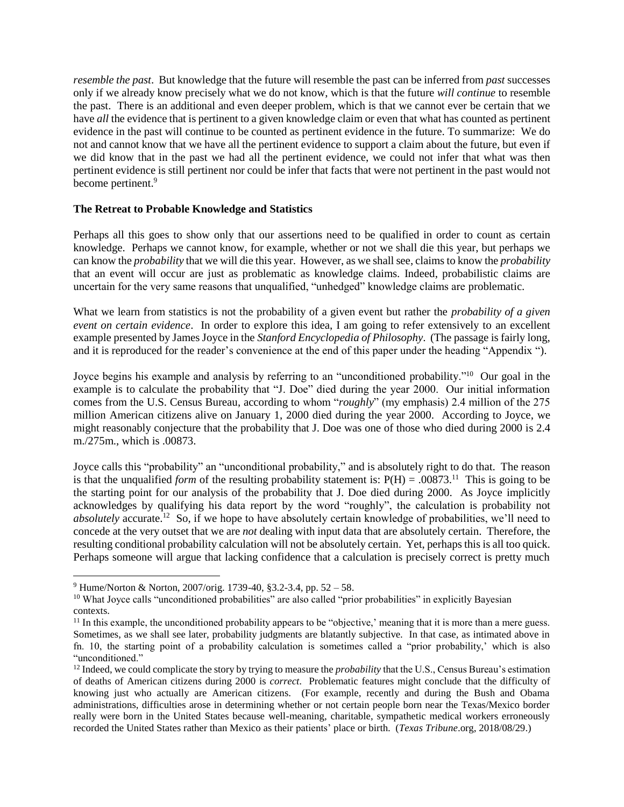*resemble the past*. But knowledge that the future will resemble the past can be inferred from *past* successes only if we already know precisely what we do not know, which is that the future *will continue* to resemble the past. There is an additional and even deeper problem, which is that we cannot ever be certain that we have *all* the evidence that is pertinent to a given knowledge claim or even that what has counted as pertinent evidence in the past will continue to be counted as pertinent evidence in the future. To summarize: We do not and cannot know that we have all the pertinent evidence to support a claim about the future, but even if we did know that in the past we had all the pertinent evidence, we could not infer that what was then pertinent evidence is still pertinent nor could be infer that facts that were not pertinent in the past would not become pertinent.<sup>9</sup>

## **The Retreat to Probable Knowledge and Statistics**

Perhaps all this goes to show only that our assertions need to be qualified in order to count as certain knowledge. Perhaps we cannot know, for example, whether or not we shall die this year, but perhaps we can know the *probability* that we will die this year. However, as we shall see, claims to know the *probability* that an event will occur are just as problematic as knowledge claims. Indeed, probabilistic claims are uncertain for the very same reasons that unqualified, "unhedged" knowledge claims are problematic.

What we learn from statistics is not the probability of a given event but rather the *probability of a given event on certain evidence*. In order to explore this idea, I am going to refer extensively to an excellent example presented by James Joyce in the *Stanford Encyclopedia of Philosophy*. (The passage is fairly long, and it is reproduced for the reader's convenience at the end of this paper under the heading "Appendix ").

Joyce begins his example and analysis by referring to an "unconditioned probability."<sup>10</sup> Our goal in the example is to calculate the probability that "J. Doe" died during the year 2000. Our initial information comes from the U.S. Census Bureau, according to whom "*roughly*" (my emphasis) 2.4 million of the 275 million American citizens alive on January 1, 2000 died during the year 2000. According to Joyce, we might reasonably conjecture that the probability that J. Doe was one of those who died during 2000 is 2.4 m./275m., which is .00873.

Joyce calls this "probability" an "unconditional probability," and is absolutely right to do that. The reason is that the unqualified *form* of the resulting probability statement is:  $P(H) = .00873<sup>11</sup>$ . This is going to be the starting point for our analysis of the probability that J. Doe died during 2000. As Joyce implicitly acknowledges by qualifying his data report by the word "roughly", the calculation is probability not absolutely accurate.<sup>12</sup> So, if we hope to have absolutely certain knowledge of probabilities, we'll need to concede at the very outset that we are *not* dealing with input data that are absolutely certain. Therefore, the resulting conditional probability calculation will not be absolutely certain. Yet, perhaps this is all too quick. Perhaps someone will argue that lacking confidence that a calculation is precisely correct is pretty much

<sup>9</sup> Hume/Norton & Norton, 2007/orig. 1739-40, §3.2-3.4, pp. 52 – 58.

<sup>&</sup>lt;sup>10</sup> What Joyce calls "unconditioned probabilities" are also called "prior probabilities" in explicitly Bayesian contexts.

 $11$  In this example, the unconditioned probability appears to be "objective,' meaning that it is more than a mere guess. Sometimes, as we shall see later, probability judgments are blatantly subjective. In that case, as intimated above in fn. 10, the starting point of a probability calculation is sometimes called a "prior probability,' which is also "unconditioned."

<sup>&</sup>lt;sup>12</sup> Indeed, we could complicate the story by trying to measure the *probability* that the U.S., Census Bureau's estimation of deaths of American citizens during 2000 is *correct*. Problematic features might conclude that the difficulty of knowing just who actually are American citizens. (For example, recently and during the Bush and Obama administrations, difficulties arose in determining whether or not certain people born near the Texas/Mexico border really were born in the United States because well-meaning, charitable, sympathetic medical workers erroneously recorded the United States rather than Mexico as their patients' place or birth. (*Texas Tribune*.org, 2018/08/29.)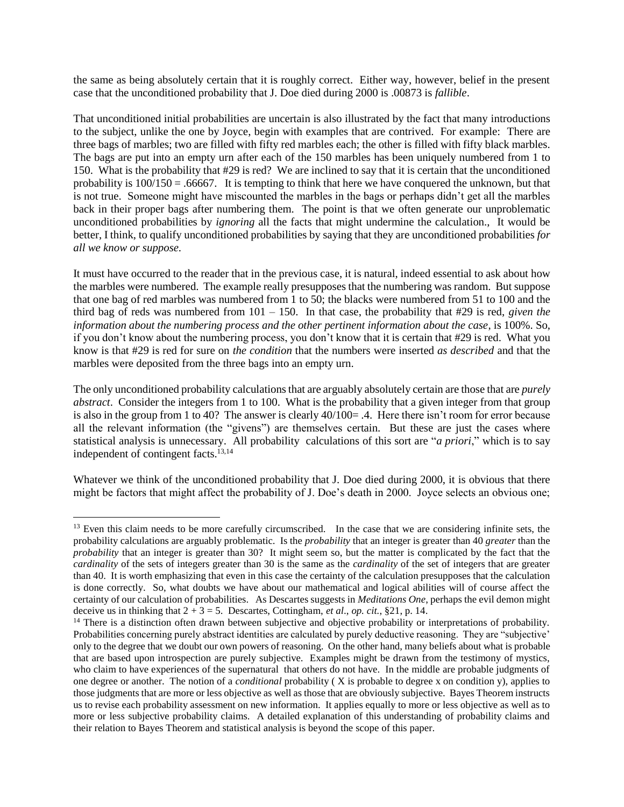the same as being absolutely certain that it is roughly correct. Either way, however, belief in the present case that the unconditioned probability that J. Doe died during 2000 is .00873 is *fallible*.

That unconditioned initial probabilities are uncertain is also illustrated by the fact that many introductions to the subject, unlike the one by Joyce, begin with examples that are contrived. For example: There are three bags of marbles; two are filled with fifty red marbles each; the other is filled with fifty black marbles. The bags are put into an empty urn after each of the 150 marbles has been uniquely numbered from 1 to 150. What is the probability that #29 is red? We are inclined to say that it is certain that the unconditioned probability is  $100/150 = .66667$ . It is tempting to think that here we have conquered the unknown, but that is not true. Someone might have miscounted the marbles in the bags or perhaps didn't get all the marbles back in their proper bags after numbering them. The point is that we often generate our unproblematic unconditioned probabilities by *ignoring* all the facts that might undermine the calculation., It would be better, I think, to qualify unconditioned probabilities by saying that they are unconditioned probabilities *for all we know or suppose.*

It must have occurred to the reader that in the previous case, it is natural, indeed essential to ask about how the marbles were numbered. The example really presupposes that the numbering was random. But suppose that one bag of red marbles was numbered from 1 to 50; the blacks were numbered from 51 to 100 and the third bag of reds was numbered from 101 – 150. In that case, the probability that #29 is red, *given the information about the numbering process and the other pertinent information about the case*, is 100%. So, if you don't know about the numbering process, you don't know that it is certain that #29 is red. What you know is that #29 is red for sure on *the condition* that the numbers were inserted *as described* and that the marbles were deposited from the three bags into an empty urn.

The only unconditioned probability calculations that are arguably absolutely certain are those that are *purely abstract*. Consider the integers from 1 to 100. What is the probability that a given integer from that group is also in the group from 1 to 40? The answer is clearly  $40/100 = .4$ . Here there isn't room for error because all the relevant information (the "givens") are themselves certain. But these are just the cases where statistical analysis is unnecessary. All probability calculations of this sort are "*a priori*," which is to say independent of contingent facts.<sup>13,14</sup>

Whatever we think of the unconditioned probability that J. Doe died during 2000, it is obvious that there might be factors that might affect the probability of J. Doe's death in 2000. Joyce selects an obvious one;

<sup>&</sup>lt;sup>13</sup> Even this claim needs to be more carefully circumscribed. In the case that we are considering infinite sets, the probability calculations are arguably problematic. Is the *probability* that an integer is greater than 40 *greater* than the *probability* that an integer is greater than 30? It might seem so, but the matter is complicated by the fact that the *cardinality* of the sets of integers greater than 30 is the same as the *cardinality* of the set of integers that are greater than 40. It is worth emphasizing that even in this case the certainty of the calculation presupposes that the calculation is done correctly. So, what doubts we have about our mathematical and logical abilities will of course affect the certainty of our calculation of probabilities. As Descartes suggests in *Meditations One*, perhaps the evil demon might deceive us in thinking that  $2 + 3 = 5$ . Descartes, Cottingham, *et al.*, *op. cit.*, §21, p. 14.

<sup>&</sup>lt;sup>14</sup> There is a distinction often drawn between subjective and objective probability or interpretations of probability. Probabilities concerning purely abstract identities are calculated by purely deductive reasoning. They are "subjective' only to the degree that we doubt our own powers of reasoning. On the other hand, many beliefs about what is probable that are based upon introspection are purely subjective. Examples might be drawn from the testimony of mystics, who claim to have experiences of the supernatural that others do not have. In the middle are probable judgments of one degree or another. The notion of a *conditional* probability ( X is probable to degree x on condition y), applies to those judgments that are more or less objective as well as those that are obviously subjective. Bayes Theorem instructs us to revise each probability assessment on new information. It applies equally to more or less objective as well as to more or less subjective probability claims. A detailed explanation of this understanding of probability claims and their relation to Bayes Theorem and statistical analysis is beyond the scope of this paper.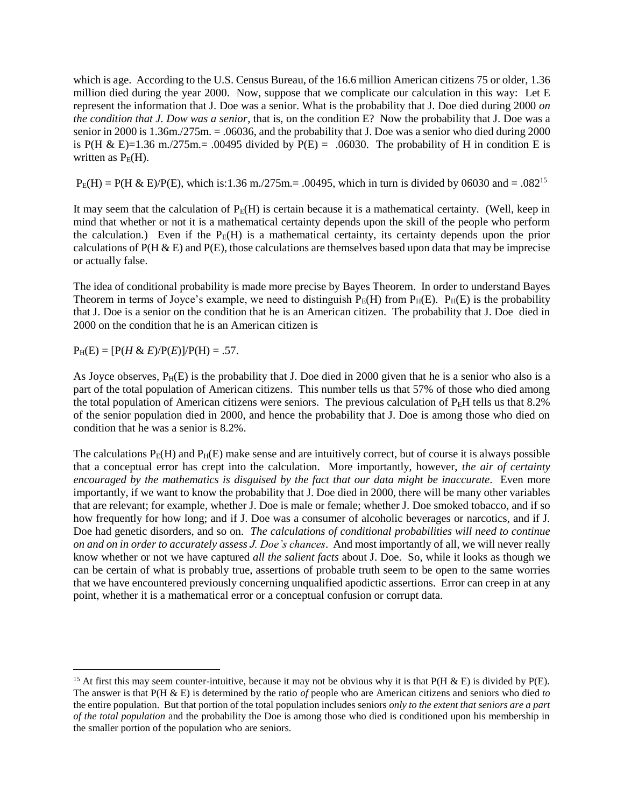which is age. According to the U.S. Census Bureau, of the 16.6 million American citizens 75 or older, 1.36 million died during the year 2000. Now, suppose that we complicate our calculation in this way: Let E represent the information that J. Doe was a senior. What is the probability that J. Doe died during 2000 *on the condition that J. Dow was a senior*, that is, on the condition E? Now the probability that J. Doe was a senior in 2000 is 1.36m./275m. = .06036, and the probability that J. Doe was a senior who died during 2000 is P(H & E)=1.36 m./275m.= .00495 divided by  $P(E) = .06030$ . The probability of H in condition E is written as  $P_E(H)$ .

 $P_{E}(H) = P(H \& E)/P(E)$ , which is:1.36 m./275m.= .00495, which in turn is divided by 06030 and = .082<sup>15</sup>

It may seem that the calculation of  $P_E(H)$  is certain because it is a mathematical certainty. (Well, keep in mind that whether or not it is a mathematical certainty depends upon the skill of the people who perform the calculation.) Even if the  $P_E(H)$  is a mathematical certainty, its certainty depends upon the prior calculations of  $P(H \& E)$  and  $P(E)$ , those calculations are themselves based upon data that may be imprecise or actually false.

The idea of conditional probability is made more precise by Bayes Theorem. In order to understand Bayes Theorem in terms of Joyce's example, we need to distinguish  $P_E(H)$  from  $P_H(E)$ .  $P_H(E)$  is the probability that J. Doe is a senior on the condition that he is an American citizen. The probability that J. Doe died in 2000 on the condition that he is an American citizen is

 $P_H(E) = [P(H & E)/P(E)]/P(H) = .57.$ 

 $\overline{a}$ 

As Joyce observes,  $P_H(E)$  is the probability that J. Doe died in 2000 given that he is a senior who also is a part of the total population of American citizens. This number tells us that 57% of those who died among the total population of American citizens were seniors. The previous calculation of  $P_E H$  tells us that 8.2% of the senior population died in 2000, and hence the probability that J. Doe is among those who died on condition that he was a senior is 8.2%.

The calculations  $P_E(H)$  and  $P_H(E)$  make sense and are intuitively correct, but of course it is always possible that a conceptual error has crept into the calculation. More importantly, however, *the air of certainty encouraged by the mathematics is disguised by the fact that our data might be inaccurate*. Even more importantly, if we want to know the probability that J. Doe died in 2000, there will be many other variables that are relevant; for example, whether J. Doe is male or female; whether J. Doe smoked tobacco, and if so how frequently for how long; and if J. Doe was a consumer of alcoholic beverages or narcotics, and if J. Doe had genetic disorders, and so on. *The calculations of conditional probabilities will need to continue on and on in order to accurately assess J. Doe's chances*. And most importantly of all, we will never really know whether or not we have captured *all the salient facts* about J. Doe. So, while it looks as though we can be certain of what is probably true, assertions of probable truth seem to be open to the same worries that we have encountered previously concerning unqualified apodictic assertions. Error can creep in at any point, whether it is a mathematical error or a conceptual confusion or corrupt data.

<sup>&</sup>lt;sup>15</sup> At first this may seem counter-intuitive, because it may not be obvious why it is that  $P(H \& E)$  is divided by  $P(E)$ . The answer is that P(H & E) is determined by the ratio *of* people who are American citizens and seniors who died *to* the entire population. But that portion of the total population includes seniors *only to the extent that seniors are a part of the total population* and the probability the Doe is among those who died is conditioned upon his membership in the smaller portion of the population who are seniors.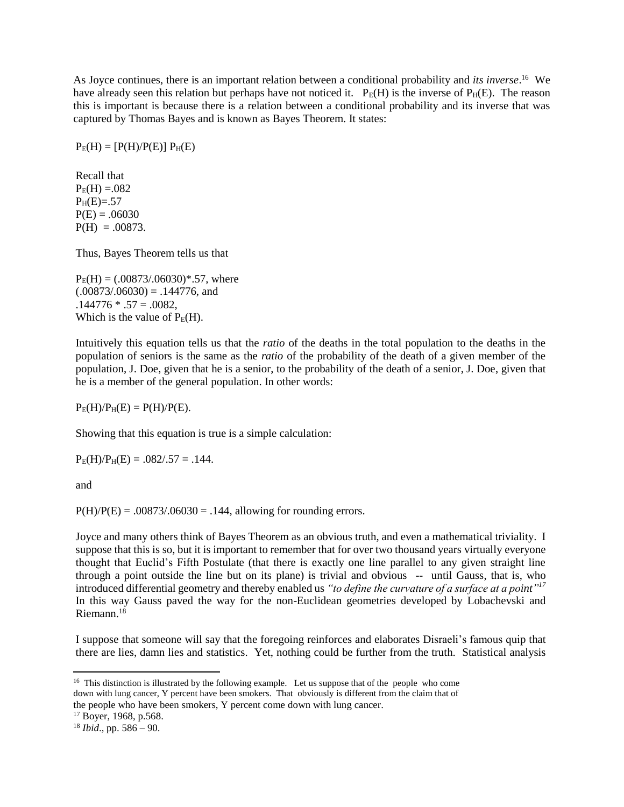As Joyce continues, there is an important relation between a conditional probability and *its inverse*.<sup>16</sup> We have already seen this relation but perhaps have not noticed it.  $P_E(H)$  is the inverse of  $P_H(E)$ . The reason this is important is because there is a relation between a conditional probability and its inverse that was captured by Thomas Bayes and is known as Bayes Theorem. It states:

 $P_E(H) = [P(H)/P(E)] P_H(E)$ 

Recall that  $P_E(H) = .082$  $P_{H}(E)=.57$  $P(E) = .06030$  $P(H) = .00873$ .

Thus, Bayes Theorem tells us that

 $P_E(H) = (.00873/.06030)*.57$ , where  $(.00873/.06030) = .144776$ , and  $.144776 * .57 = .0082,$ Which is the value of  $P_E(H)$ .

Intuitively this equation tells us that the *ratio* of the deaths in the total population to the deaths in the population of seniors is the same as the *ratio* of the probability of the death of a given member of the population, J. Doe, given that he is a senior, to the probability of the death of a senior, J. Doe, given that he is a member of the general population. In other words:

 $P_E(H)/P_H(E) = P(H)/P(E)$ .

Showing that this equation is true is a simple calculation:

 $P_{E}(H)/P_{H}(E) = .082/.57 = .144.$ 

and

 $\overline{a}$ 

 $P(H)/P(E) = .00873/.06030 = .144$ , allowing for rounding errors.

Joyce and many others think of Bayes Theorem as an obvious truth, and even a mathematical triviality. I suppose that this is so, but it is important to remember that for over two thousand years virtually everyone thought that Euclid's Fifth Postulate (that there is exactly one line parallel to any given straight line through a point outside the line but on its plane) is trivial and obvious -- until Gauss, that is, who introduced differential geometry and thereby enabled us *"to define the curvature of a surface at a point" 17* In this way Gauss paved the way for the non-Euclidean geometries developed by Lobachevski and Riemann.<sup>18</sup>

I suppose that someone will say that the foregoing reinforces and elaborates Disraeli's famous quip that there are lies, damn lies and statistics. Yet, nothing could be further from the truth. Statistical analysis

<sup>&</sup>lt;sup>16</sup> This distinction is illustrated by the following example. Let us suppose that of the people who come down with lung cancer, Y percent have been smokers. That obviously is different from the claim that of the people who have been smokers, Y percent come down with lung cancer.

<sup>17</sup> Boyer, 1968, p.568.

 $18$  *Ibid.*, pp. 586 – 90.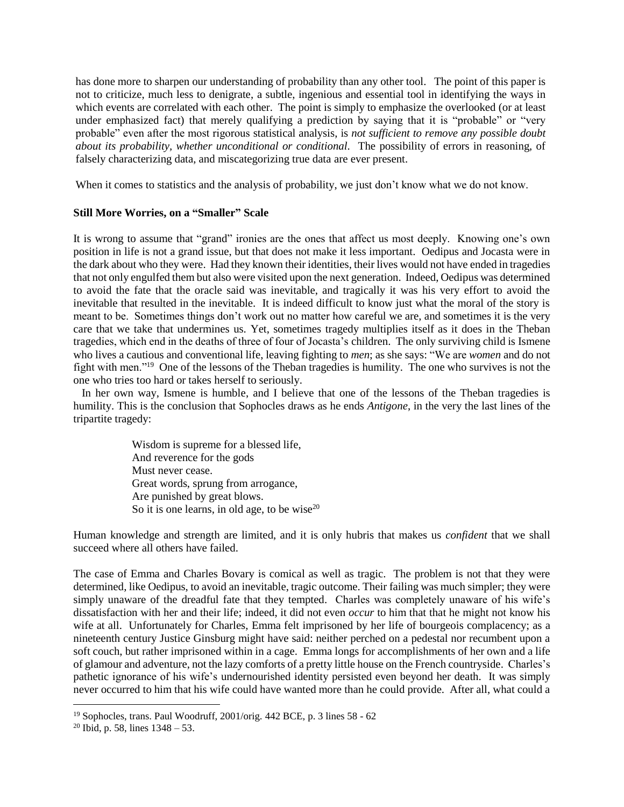has done more to sharpen our understanding of probability than any other tool. The point of this paper is not to criticize, much less to denigrate, a subtle, ingenious and essential tool in identifying the ways in which events are correlated with each other. The point is simply to emphasize the overlooked (or at least under emphasized fact) that merely qualifying a prediction by saying that it is "probable" or "very probable" even after the most rigorous statistical analysis, is *not sufficient to remove any possible doubt about its probability, whether unconditional or conditional.* The possibility of errors in reasoning, of falsely characterizing data, and miscategorizing true data are ever present.

When it comes to statistics and the analysis of probability, we just don't know what we do not know.

#### **Still More Worries, on a "Smaller" Scale**

It is wrong to assume that "grand" ironies are the ones that affect us most deeply. Knowing one's own position in life is not a grand issue, but that does not make it less important. Oedipus and Jocasta were in the dark about who they were. Had they known their identities, their lives would not have ended in tragedies that not only engulfed them but also were visited upon the next generation. Indeed, Oedipus was determined to avoid the fate that the oracle said was inevitable, and tragically it was his very effort to avoid the inevitable that resulted in the inevitable. It is indeed difficult to know just what the moral of the story is meant to be. Sometimes things don't work out no matter how careful we are, and sometimes it is the very care that we take that undermines us. Yet, sometimes tragedy multiplies itself as it does in the Theban tragedies, which end in the deaths of three of four of Jocasta's children. The only surviving child is Ismene who lives a cautious and conventional life, leaving fighting to *men*; as she says: "We are *women* and do not fight with men."<sup>19</sup> One of the lessons of the Theban tragedies is humility. The one who survives is not the one who tries too hard or takes herself to seriously.

 In her own way, Ismene is humble, and I believe that one of the lessons of the Theban tragedies is humility. This is the conclusion that Sophocles draws as he ends *Antigone*, in the very the last lines of the tripartite tragedy:

> Wisdom is supreme for a blessed life, And reverence for the gods Must never cease. Great words, sprung from arrogance, Are punished by great blows. So it is one learns, in old age, to be wise $^{20}$

Human knowledge and strength are limited, and it is only hubris that makes us *confident* that we shall succeed where all others have failed.

The case of Emma and Charles Bovary is comical as well as tragic. The problem is not that they were determined, like Oedipus, to avoid an inevitable, tragic outcome. Their failing was much simpler; they were simply unaware of the dreadful fate that they tempted. Charles was completely unaware of his wife's dissatisfaction with her and their life; indeed, it did not even *occur* to him that that he might not know his wife at all. Unfortunately for Charles, Emma felt imprisoned by her life of bourgeois complacency; as a nineteenth century Justice Ginsburg might have said: neither perched on a pedestal nor recumbent upon a soft couch, but rather imprisoned within in a cage. Emma longs for accomplishments of her own and a life of glamour and adventure, not the lazy comforts of a pretty little house on the French countryside. Charles's pathetic ignorance of his wife's undernourished identity persisted even beyond her death. It was simply never occurred to him that his wife could have wanted more than he could provide. After all, what could a

<sup>19</sup> Sophocles, trans. Paul Woodruff, 2001/orig. 442 BCE, p. 3 lines 58 - 62

<sup>&</sup>lt;sup>20</sup> Ibid, p. 58, lines  $1348 - 53$ .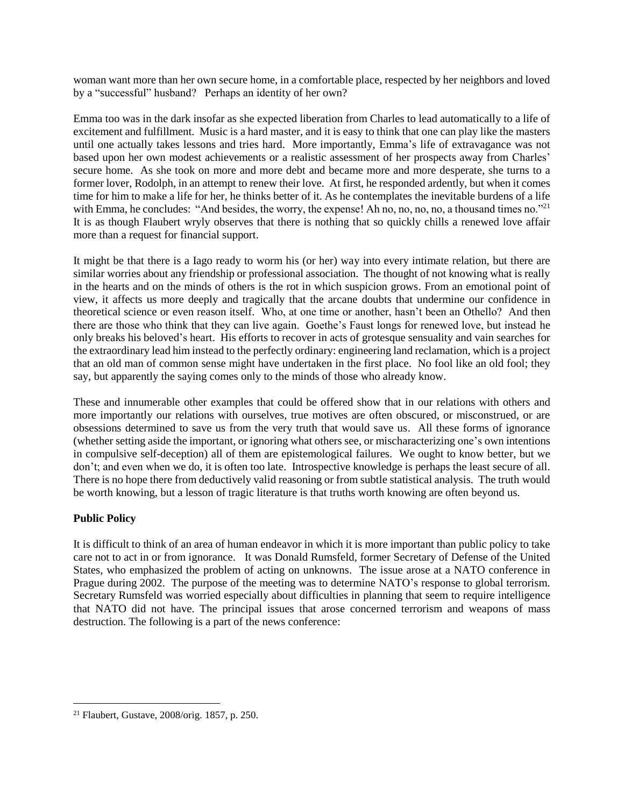woman want more than her own secure home, in a comfortable place, respected by her neighbors and loved by a "successful" husband? Perhaps an identity of her own?

Emma too was in the dark insofar as she expected liberation from Charles to lead automatically to a life of excitement and fulfillment. Music is a hard master, and it is easy to think that one can play like the masters until one actually takes lessons and tries hard. More importantly, Emma's life of extravagance was not based upon her own modest achievements or a realistic assessment of her prospects away from Charles' secure home. As she took on more and more debt and became more and more desperate, she turns to a former lover, Rodolph, in an attempt to renew their love. At first, he responded ardently, but when it comes time for him to make a life for her, he thinks better of it. As he contemplates the inevitable burdens of a life with Emma, he concludes: "And besides, the worry, the expense! Ah no, no, no, no, a thousand times no."<sup>21</sup> It is as though Flaubert wryly observes that there is nothing that so quickly chills a renewed love affair more than a request for financial support.

It might be that there is a Iago ready to worm his (or her) way into every intimate relation, but there are similar worries about any friendship or professional association. The thought of not knowing what is really in the hearts and on the minds of others is the rot in which suspicion grows. From an emotional point of view, it affects us more deeply and tragically that the arcane doubts that undermine our confidence in theoretical science or even reason itself. Who, at one time or another, hasn't been an Othello? And then there are those who think that they can live again. Goethe's Faust longs for renewed love, but instead he only breaks his beloved's heart. His efforts to recover in acts of grotesque sensuality and vain searches for the extraordinary lead him instead to the perfectly ordinary: engineering land reclamation, which is a project that an old man of common sense might have undertaken in the first place. No fool like an old fool; they say, but apparently the saying comes only to the minds of those who already know.

These and innumerable other examples that could be offered show that in our relations with others and more importantly our relations with ourselves, true motives are often obscured, or misconstrued, or are obsessions determined to save us from the very truth that would save us. All these forms of ignorance (whether setting aside the important, or ignoring what others see, or mischaracterizing one's own intentions in compulsive self-deception) all of them are epistemological failures. We ought to know better, but we don't; and even when we do, it is often too late. Introspective knowledge is perhaps the least secure of all. There is no hope there from deductively valid reasoning or from subtle statistical analysis. The truth would be worth knowing, but a lesson of tragic literature is that truths worth knowing are often beyond us.

## **Public Policy**

 $\overline{a}$ 

It is difficult to think of an area of human endeavor in which it is more important than public policy to take care not to act in or from ignorance. It was Donald Rumsfeld, former Secretary of Defense of the United States, who emphasized the problem of acting on unknowns. The issue arose at a NATO conference in Prague during 2002. The purpose of the meeting was to determine NATO's response to global terrorism. Secretary Rumsfeld was worried especially about difficulties in planning that seem to require intelligence that NATO did not have. The principal issues that arose concerned terrorism and weapons of mass destruction. The following is a part of the news conference:

<sup>21</sup> Flaubert, Gustave, 2008/orig. 1857, p. 250.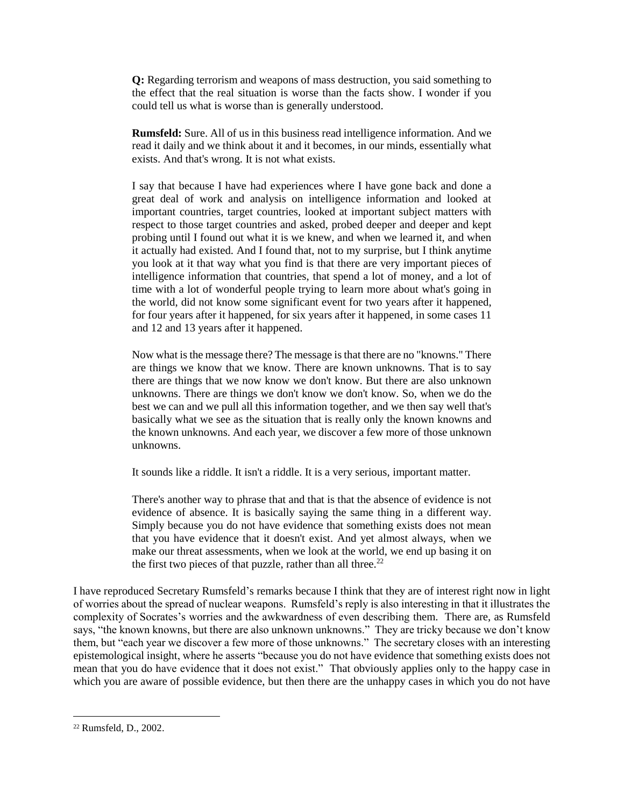**Q:** Regarding terrorism and weapons of mass destruction, you said something to the effect that the real situation is worse than the facts show. I wonder if you could tell us what is worse than is generally understood.

**Rumsfeld:** Sure. All of us in this business read intelligence information. And we read it daily and we think about it and it becomes, in our minds, essentially what exists. And that's wrong. It is not what exists.

I say that because I have had experiences where I have gone back and done a great deal of work and analysis on intelligence information and looked at important countries, target countries, looked at important subject matters with respect to those target countries and asked, probed deeper and deeper and kept probing until I found out what it is we knew, and when we learned it, and when it actually had existed. And I found that, not to my surprise, but I think anytime you look at it that way what you find is that there are very important pieces of intelligence information that countries, that spend a lot of money, and a lot of time with a lot of wonderful people trying to learn more about what's going in the world, did not know some significant event for two years after it happened, for four years after it happened, for six years after it happened, in some cases 11 and 12 and 13 years after it happened.

Now what is the message there? The message is that there are no "knowns." There are things we know that we know. There are known unknowns. That is to say there are things that we now know we don't know. But there are also unknown unknowns. There are things we don't know we don't know. So, when we do the best we can and we pull all this information together, and we then say well that's basically what we see as the situation that is really only the known knowns and the known unknowns. And each year, we discover a few more of those unknown unknowns.

It sounds like a riddle. It isn't a riddle. It is a very serious, important matter.

There's another way to phrase that and that is that the absence of evidence is not evidence of absence. It is basically saying the same thing in a different way. Simply because you do not have evidence that something exists does not mean that you have evidence that it doesn't exist. And yet almost always, when we make our threat assessments, when we look at the world, we end up basing it on the first two pieces of that puzzle, rather than all three. $22$ 

I have reproduced Secretary Rumsfeld's remarks because I think that they are of interest right now in light of worries about the spread of nuclear weapons. Rumsfeld's reply is also interesting in that it illustrates the complexity of Socrates's worries and the awkwardness of even describing them. There are, as Rumsfeld says, "the known knowns, but there are also unknown unknowns." They are tricky because we don't know them, but "each year we discover a few more of those unknowns." The secretary closes with an interesting epistemological insight, where he asserts "because you do not have evidence that something exists does not mean that you do have evidence that it does not exist." That obviously applies only to the happy case in which you are aware of possible evidence, but then there are the unhappy cases in which you do not have

<sup>22</sup> Rumsfeld, D., 2002.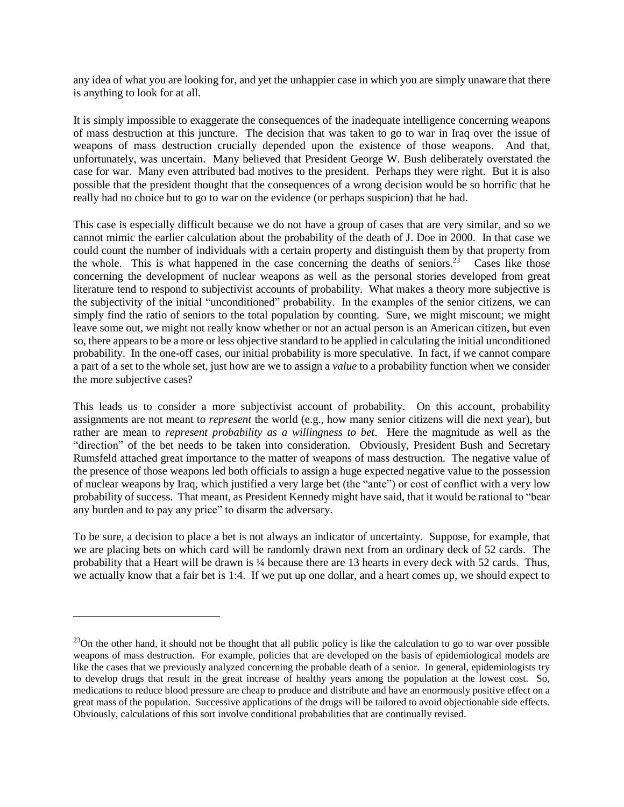any idea of what you are looking for, and yet the unhappier case in which you are simply unaware that there is anything to look for at all.

It is simply impossible to exaggerate the consequences of the inadequate intelligence concerning weapons of mass destruction at this juncture. The decision that was taken to go to war in Iraq over the issue of weapons of mass destruction crucially depended upon the existence of those weapons. And that, unfortunately, was uncertain. Many believed that President George W. Bush deliberately overstated the case for war. Many even attributed bad motives to the president. Perhaps they were right. But it is also possible that the president thought that the consequences of a wrong decision would be so horrific that he really had no choice but to go to war on the evidence (or perhaps suspicion) that he had.

This case is especially difficult because we do not have a group of cases that are very similar, and so we cannot mimic the earlier calculation about the probability of the death of J. Doe in 2000. In that case we could count the number of individuals with a certain property and distinguish them by that property from the whole. This is what happened in the case concerning the deaths of seniors.<sup>23</sup> Cases like those concerning the development of nuclear weapons as well as the personal stories developed from great literature tend to respond to subjectivist accounts of probability. What makes a theory more subjective is the subjectivity of the initial "unconditioned" probability. In the examples of the senior citizens, we can simply find the ratio of seniors to the total population by counting. Sure, we might miscount; we might leave some out, we might not really know whether or not an actual person is an American citizen, but even so, there appears to be a more or less objective standard to be applied in calculating the initial unconditioned probability. In the one-off cases, our initial probability is more speculative. In fact, if we cannot compare a part of a set to the whole set, just how are we to assign a *value* to a probability function when we consider the more subjective cases?

This leads us to consider a more subjectivist account of probability. On this account, probability assignments are not meant to *represent* the world (e.g., how many senior citizens will die next year), but rather are mean to *represent probability as a willingness to bet*. Here the magnitude as well as the "direction" of the bet needs to be taken into consideration. Obviously, President Bush and Secretary Rumsfeld attached great importance to the matter of weapons of mass destruction. The negative value of the presence of those weapons led both officials to assign a huge expected negative value to the possession of nuclear weapons by Iraq, which justified a very large bet (the "ante") or cost of conflict with a very low probability of success. That meant, as President Kennedy might have said, that it would be rational to "bear any burden and to pay any price" to disarm the adversary.

To be sure, a decision to place a bet is not always an indicator of uncertainty. Suppose, for example, that we are placing bets on which card will be randomly drawn next from an ordinary deck of 52 cards. The probability that a Heart will be drawn is ¼ because there are 13 hearts in every deck with 52 cards. Thus, we actually know that a fair bet is 1:4. If we put up one dollar, and a heart comes up, we should expect to

<sup>&</sup>lt;sup>23</sup>On the other hand, it should not be thought that all public policy is like the calculation to go to war over possible weapons of mass destruction. For example, policies that are developed on the basis of epidemiological models are like the cases that we previously analyzed concerning the probable death of a senior. In general, epidemiologists try to develop drugs that result in the great increase of healthy years among the population at the lowest cost. So, medications to reduce blood pressure are cheap to produce and distribute and have an enormously positive effect on a great mass of the population. Successive applications of the drugs will be tailored to avoid objectionable side effects. Obviously, calculations of this sort involve conditional probabilities that are continually revised.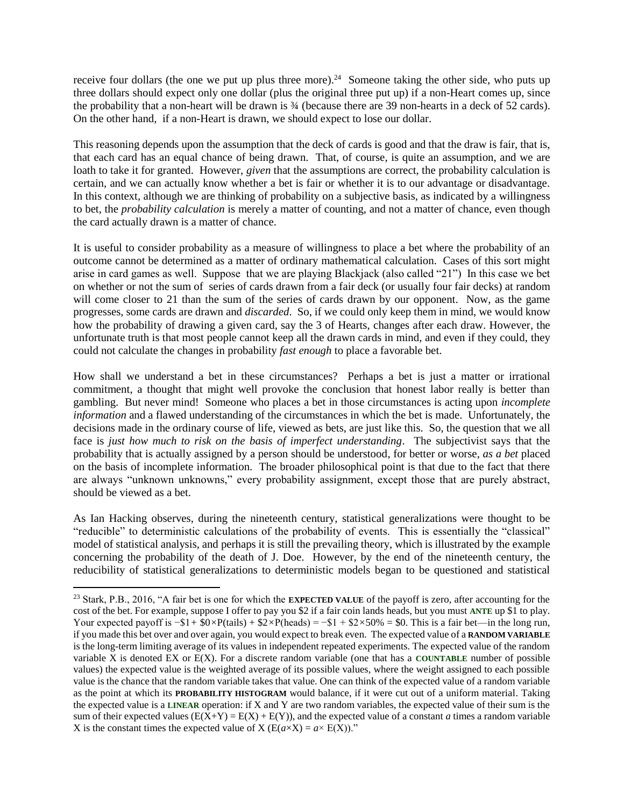receive four dollars (the one we put up plus three more).<sup>24</sup> Someone taking the other side, who puts up three dollars should expect only one dollar (plus the original three put up) if a non-Heart comes up, since the probability that a non-heart will be drawn is ¾ (because there are 39 non-hearts in a deck of 52 cards). On the other hand, if a non-Heart is drawn, we should expect to lose our dollar.

This reasoning depends upon the assumption that the deck of cards is good and that the draw is fair, that is, that each card has an equal chance of being drawn. That, of course, is quite an assumption, and we are loath to take it for granted. However, *given* that the assumptions are correct, the probability calculation is certain, and we can actually know whether a bet is fair or whether it is to our advantage or disadvantage. In this context, although we are thinking of probability on a subjective basis, as indicated by a willingness to bet, the *probability calculation* is merely a matter of counting, and not a matter of chance, even though the card actually drawn is a matter of chance.

It is useful to consider probability as a measure of willingness to place a bet where the probability of an outcome cannot be determined as a matter of ordinary mathematical calculation. Cases of this sort might arise in card games as well. Suppose that we are playing Blackjack (also called "21") In this case we bet on whether or not the sum of series of cards drawn from a fair deck (or usually four fair decks) at random will come closer to 21 than the sum of the series of cards drawn by our opponent. Now, as the game progresses, some cards are drawn and *discarded*. So, if we could only keep them in mind, we would know how the probability of drawing a given card, say the 3 of Hearts, changes after each draw. However, the unfortunate truth is that most people cannot keep all the drawn cards in mind, and even if they could, they could not calculate the changes in probability *fast enough* to place a favorable bet.

How shall we understand a bet in these circumstances? Perhaps a bet is just a matter or irrational commitment, a thought that might well provoke the conclusion that honest labor really is better than gambling. But never mind! Someone who places a bet in those circumstances is acting upon *incomplete information* and a flawed understanding of the circumstances in which the bet is made. Unfortunately, the decisions made in the ordinary course of life, viewed as bets, are just like this. So, the question that we all face is *just how much to risk on the basis of imperfect understanding*. The subjectivist says that the probability that is actually assigned by a person should be understood, for better or worse, *as a bet* placed on the basis of incomplete information. The broader philosophical point is that due to the fact that there are always "unknown unknowns," every probability assignment, except those that are purely abstract, should be viewed as a bet.

As Ian Hacking observes, during the nineteenth century, statistical generalizations were thought to be "reducible" to deterministic calculations of the probability of events. This is essentially the "classical" model of statistical analysis, and perhaps it is still the prevailing theory, which is illustrated by the example concerning the probability of the death of J. Doe. However, by the end of the nineteenth century, the reducibility of statistical generalizations to deterministic models began to be questioned and statistical

<sup>23</sup> Stark, P.B., 2016, "A fair bet is one for which the **[EXPECTED VALUE](https://www.stat.berkeley.edu/~stark/SticiGui/Text/gloss.htm#expectation)** of the payoff is zero, after accounting for the cost of the bet. For example, suppose I offer to pay you \$2 if a fair coin lands heads, but you must **[ANTE](https://www.stat.berkeley.edu/~stark/SticiGui/Text/gloss.htm#ante)** up \$1 to play. Your expected payoff is  $-1 + \sqrt{6}$ *×*P(tails) +  $\sqrt{2}$ *×P*(heads) =  $-\sqrt{1 + \sqrt{2}}$ *×50%* = \$0. This is a fair bet—in the long run, if you made this bet over and over again, you would expect to break even. The expected value of a **[RANDOM VARIABLE](https://www.stat.berkeley.edu/~stark/SticiGui/Text/gloss.htm#random_variable)** is the long-term limiting average of its values in independent repeated experiments. The expected value of the random variable X is denoted EX or E(X). For a discrete random variable (one that has a **[COUNTABLE](https://www.stat.berkeley.edu/~stark/SticiGui/Text/gloss.htm#countable)** number of possible values) the expected value is the weighted average of its possible values, where the weight assigned to each possible value is the chance that the random variable takes that value. One can think of the expected value of a random variable as the point at which its **[PROBABILITY HISTOGRAM](https://www.stat.berkeley.edu/~stark/SticiGui/Text/gloss.htm#probability_histogram)** would balance, if it were cut out of a uniform material. Taking the expected value is a **[LINEAR](https://www.stat.berkeley.edu/~stark/SticiGui/Text/gloss.htm#linear)** operation: if X and Y are two random variables, the expected value of their sum is the sum of their expected values  $(E(X+Y) = E(X) + E(Y))$ , and the expected value of a constant *a* times a random variable X is the constant times the expected value of X ( $E(a \times X) = a \times E(X)$ )."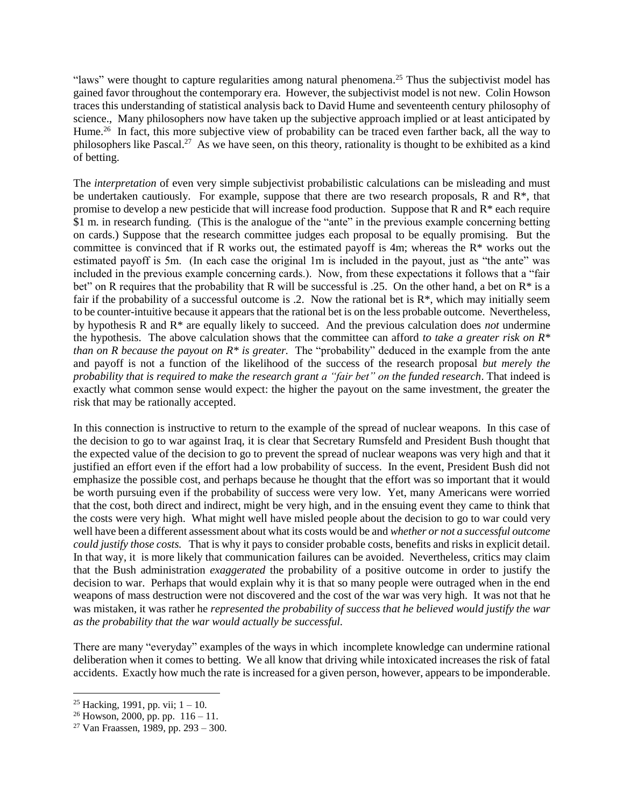"laws" were thought to capture regularities among natural phenomena.<sup>25</sup> Thus the subjectivist model has gained favor throughout the contemporary era. However, the subjectivist model is not new. Colin Howson traces this understanding of statistical analysis back to David Hume and seventeenth century philosophy of science., Many philosophers now have taken up the subjective approach implied or at least anticipated by Hume.<sup>26</sup> In fact, this more subjective view of probability can be traced even farther back, all the way to philosophers like Pascal.<sup>27</sup> As we have seen, on this theory, rationality is thought to be exhibited as a kind of betting.

The *interpretation* of even very simple subjectivist probabilistic calculations can be misleading and must be undertaken cautiously. For example, suppose that there are two research proposals, R and R<sup>\*</sup>, that promise to develop a new pesticide that will increase food production. Suppose that R and R\* each require \$1 m. in research funding. (This is the analogue of the "ante" in the previous example concerning betting on cards.) Suppose that the research committee judges each proposal to be equally promising. But the committee is convinced that if R works out, the estimated payoff is 4m; whereas the  $R^*$  works out the estimated payoff is 5m. (In each case the original 1m is included in the payout, just as "the ante" was included in the previous example concerning cards.). Now, from these expectations it follows that a "fair bet" on R requires that the probability that R will be successful is .25. On the other hand, a bet on R<sup>\*</sup> is a fair if the probability of a successful outcome is .2. Now the rational bet is  $\mathbb{R}^*$ , which may initially seem to be counter-intuitive because it appears that the rational bet is on the less probable outcome. Nevertheless, by hypothesis R and R\* are equally likely to succeed. And the previous calculation does *not* undermine the hypothesis. The above calculation shows that the committee can afford *to take a greater risk on R\* than on R because the payout on R\* is greater.* The "probability" deduced in the example from the ante and payoff is not a function of the likelihood of the success of the research proposal *but merely the probability that is required to make the research grant a "fair bet" on the funded research*. That indeed is exactly what common sense would expect: the higher the payout on the same investment, the greater the risk that may be rationally accepted.

In this connection is instructive to return to the example of the spread of nuclear weapons. In this case of the decision to go to war against Iraq, it is clear that Secretary Rumsfeld and President Bush thought that the expected value of the decision to go to prevent the spread of nuclear weapons was very high and that it justified an effort even if the effort had a low probability of success. In the event, President Bush did not emphasize the possible cost, and perhaps because he thought that the effort was so important that it would be worth pursuing even if the probability of success were very low. Yet, many Americans were worried that the cost, both direct and indirect, might be very high, and in the ensuing event they came to think that the costs were very high. What might well have misled people about the decision to go to war could very well have been a different assessment about what its costs would be and *whether or not a successful outcome could justify those costs.* That is why it pays to consider probable costs, benefits and risks in explicit detail. In that way, it is more likely that communication failures can be avoided. Nevertheless, critics may claim that the Bush administration *exaggerated* the probability of a positive outcome in order to justify the decision to war. Perhaps that would explain why it is that so many people were outraged when in the end weapons of mass destruction were not discovered and the cost of the war was very high. It was not that he was mistaken, it was rather he *represented the probability of success that he believed would justify the war as the probability that the war would actually be successful.*

There are many "everyday" examples of the ways in which incomplete knowledge can undermine rational deliberation when it comes to betting. We all know that driving while intoxicated increases the risk of fatal accidents. Exactly how much the rate is increased for a given person, however, appears to be imponderable.

<sup>&</sup>lt;sup>25</sup> Hacking, 1991, pp. vii;  $1 - 10$ .

<sup>&</sup>lt;sup>26</sup> Howson, 2000, pp. pp.  $116 - 11$ .

<sup>&</sup>lt;sup>27</sup> Van Fraassen, 1989, pp. 293 – 300.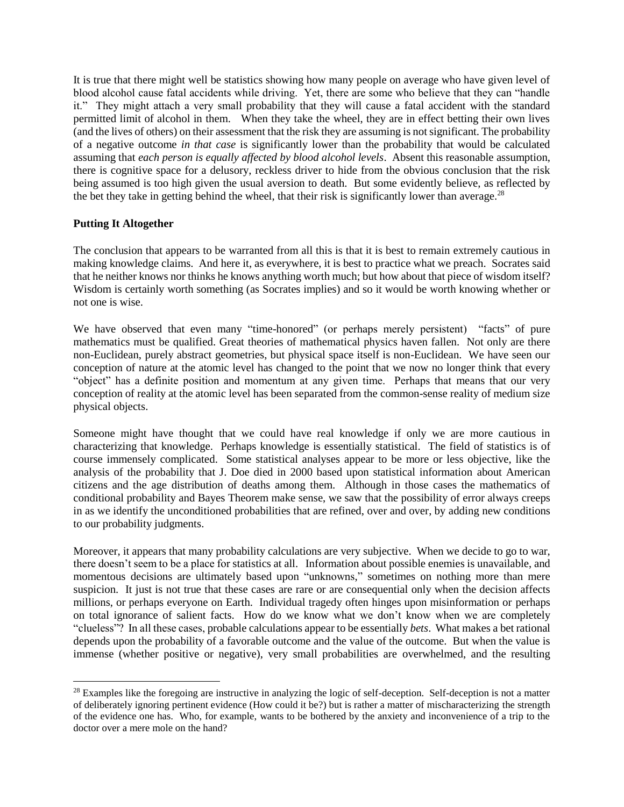It is true that there might well be statistics showing how many people on average who have given level of blood alcohol cause fatal accidents while driving. Yet, there are some who believe that they can "handle it." They might attach a very small probability that they will cause a fatal accident with the standard permitted limit of alcohol in them. When they take the wheel, they are in effect betting their own lives (and the lives of others) on their assessment that the risk they are assuming is not significant. The probability of a negative outcome *in that case* is significantly lower than the probability that would be calculated assuming that *each person is equally affected by blood alcohol levels*. Absent this reasonable assumption, there is cognitive space for a delusory, reckless driver to hide from the obvious conclusion that the risk being assumed is too high given the usual aversion to death. But some evidently believe, as reflected by the bet they take in getting behind the wheel, that their risk is significantly lower than average. $^{28}$ 

## **Putting It Altogether**

 $\overline{a}$ 

The conclusion that appears to be warranted from all this is that it is best to remain extremely cautious in making knowledge claims. And here it, as everywhere, it is best to practice what we preach. Socrates said that he neither knows nor thinks he knows anything worth much; but how about that piece of wisdom itself? Wisdom is certainly worth something (as Socrates implies) and so it would be worth knowing whether or not one is wise.

We have observed that even many "time-honored" (or perhaps merely persistent) "facts" of pure mathematics must be qualified. Great theories of mathematical physics haven fallen. Not only are there non-Euclidean, purely abstract geometries, but physical space itself is non-Euclidean. We have seen our conception of nature at the atomic level has changed to the point that we now no longer think that every "object" has a definite position and momentum at any given time. Perhaps that means that our very conception of reality at the atomic level has been separated from the common-sense reality of medium size physical objects.

Someone might have thought that we could have real knowledge if only we are more cautious in characterizing that knowledge. Perhaps knowledge is essentially statistical. The field of statistics is of course immensely complicated. Some statistical analyses appear to be more or less objective, like the analysis of the probability that J. Doe died in 2000 based upon statistical information about American citizens and the age distribution of deaths among them. Although in those cases the mathematics of conditional probability and Bayes Theorem make sense, we saw that the possibility of error always creeps in as we identify the unconditioned probabilities that are refined, over and over, by adding new conditions to our probability judgments.

Moreover, it appears that many probability calculations are very subjective. When we decide to go to war, there doesn't seem to be a place for statistics at all. Information about possible enemies is unavailable, and momentous decisions are ultimately based upon "unknowns," sometimes on nothing more than mere suspicion. It just is not true that these cases are rare or are consequential only when the decision affects millions, or perhaps everyone on Earth. Individual tragedy often hinges upon misinformation or perhaps on total ignorance of salient facts. How do we know what we don't know when we are completely "clueless"? In all these cases, probable calculations appear to be essentially *bets*. What makes a bet rational depends upon the probability of a favorable outcome and the value of the outcome. But when the value is immense (whether positive or negative), very small probabilities are overwhelmed, and the resulting

<sup>&</sup>lt;sup>28</sup> Examples like the foregoing are instructive in analyzing the logic of self-deception. Self-deception is not a matter of deliberately ignoring pertinent evidence (How could it be?) but is rather a matter of mischaracterizing the strength of the evidence one has. Who, for example, wants to be bothered by the anxiety and inconvenience of a trip to the doctor over a mere mole on the hand?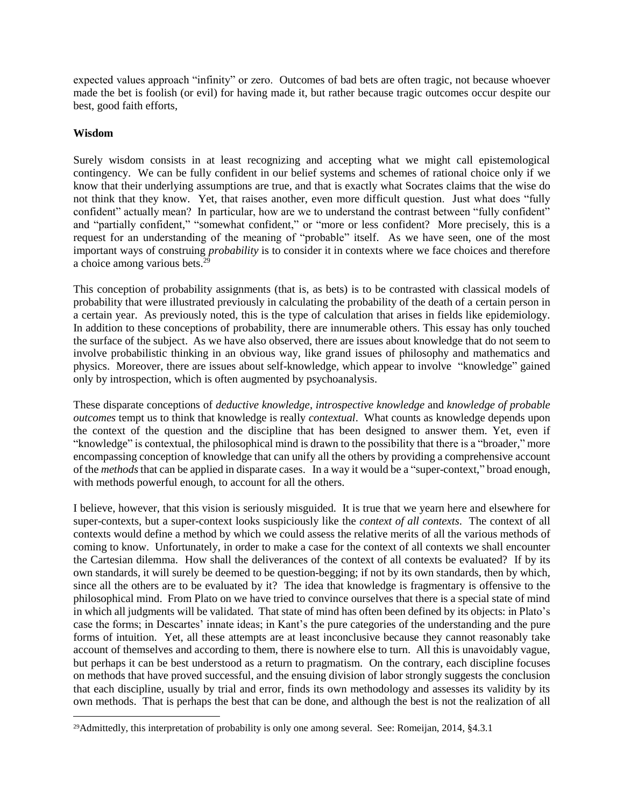expected values approach "infinity" or zero. Outcomes of bad bets are often tragic, not because whoever made the bet is foolish (or evil) for having made it, but rather because tragic outcomes occur despite our best, good faith efforts,

## **Wisdom**

 $\overline{a}$ 

Surely wisdom consists in at least recognizing and accepting what we might call epistemological contingency. We can be fully confident in our belief systems and schemes of rational choice only if we know that their underlying assumptions are true, and that is exactly what Socrates claims that the wise do not think that they know. Yet, that raises another, even more difficult question. Just what does "fully confident" actually mean? In particular, how are we to understand the contrast between "fully confident" and "partially confident," "somewhat confident," or "more or less confident? More precisely, this is a request for an understanding of the meaning of "probable" itself. As we have seen, one of the most important ways of construing *probability* is to consider it in contexts where we face choices and therefore a choice among various bets.<sup>29</sup>

This conception of probability assignments (that is, as bets) is to be contrasted with classical models of probability that were illustrated previously in calculating the probability of the death of a certain person in a certain year. As previously noted, this is the type of calculation that arises in fields like epidemiology. In addition to these conceptions of probability, there are innumerable others. This essay has only touched the surface of the subject. As we have also observed, there are issues about knowledge that do not seem to involve probabilistic thinking in an obvious way, like grand issues of philosophy and mathematics and physics. Moreover, there are issues about self-knowledge, which appear to involve "knowledge" gained only by introspection, which is often augmented by psychoanalysis.

These disparate conceptions of *deductive knowledge*, *introspective knowledge* and *knowledge of probable outcomes* tempt us to think that knowledge is really *contextual*. What counts as knowledge depends upon the context of the question and the discipline that has been designed to answer them. Yet, even if "knowledge" is contextual, the philosophical mind is drawn to the possibility that there is a "broader," more encompassing conception of knowledge that can unify all the others by providing a comprehensive account of the *methods*that can be applied in disparate cases. In a way it would be a "super-context," broad enough, with methods powerful enough, to account for all the others.

I believe, however, that this vision is seriously misguided. It is true that we yearn here and elsewhere for super-contexts, but a super-context looks suspiciously like the *context of all contexts*. The context of all contexts would define a method by which we could assess the relative merits of all the various methods of coming to know. Unfortunately, in order to make a case for the context of all contexts we shall encounter the Cartesian dilemma. How shall the deliverances of the context of all contexts be evaluated? If by its own standards, it will surely be deemed to be question-begging; if not by its own standards, then by which, since all the others are to be evaluated by it? The idea that knowledge is fragmentary is offensive to the philosophical mind. From Plato on we have tried to convince ourselves that there is a special state of mind in which all judgments will be validated. That state of mind has often been defined by its objects: in Plato's case the forms; in Descartes' innate ideas; in Kant's the pure categories of the understanding and the pure forms of intuition. Yet, all these attempts are at least inconclusive because they cannot reasonably take account of themselves and according to them, there is nowhere else to turn. All this is unavoidably vague, but perhaps it can be best understood as a return to pragmatism. On the contrary, each discipline focuses on methods that have proved successful, and the ensuing division of labor strongly suggests the conclusion that each discipline, usually by trial and error, finds its own methodology and assesses its validity by its own methods. That is perhaps the best that can be done, and although the best is not the realization of all

<sup>29</sup>Admittedly, this interpretation of probability is only one among several. See: Romeijan, 2014, §4.3.1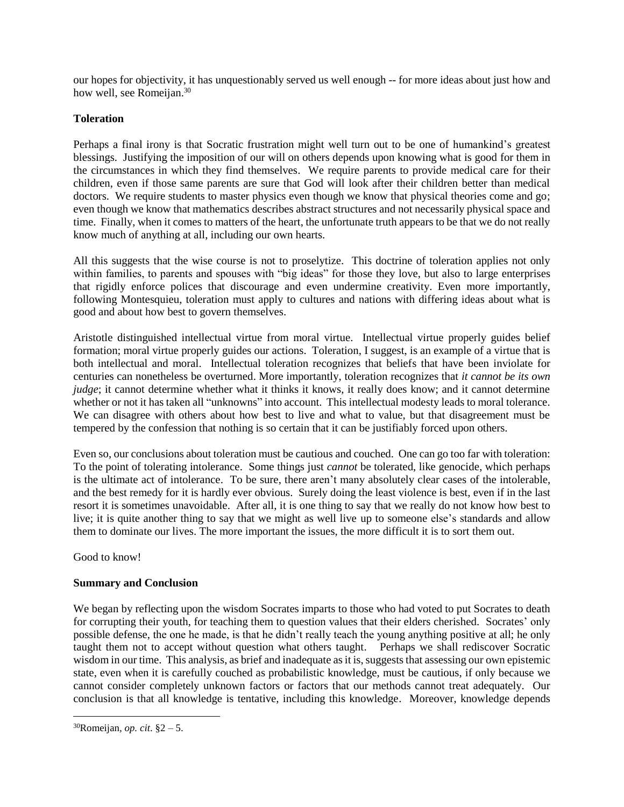our hopes for objectivity, it has unquestionably served us well enough -- for more ideas about just how and how well, see Romeijan.<sup>30</sup>

## **Toleration**

Perhaps a final irony is that Socratic frustration might well turn out to be one of humankind's greatest blessings. Justifying the imposition of our will on others depends upon knowing what is good for them in the circumstances in which they find themselves. We require parents to provide medical care for their children, even if those same parents are sure that God will look after their children better than medical doctors. We require students to master physics even though we know that physical theories come and go; even though we know that mathematics describes abstract structures and not necessarily physical space and time. Finally, when it comes to matters of the heart, the unfortunate truth appears to be that we do not really know much of anything at all, including our own hearts.

All this suggests that the wise course is not to proselytize. This doctrine of toleration applies not only within families, to parents and spouses with "big ideas" for those they love, but also to large enterprises that rigidly enforce polices that discourage and even undermine creativity. Even more importantly, following Montesquieu, toleration must apply to cultures and nations with differing ideas about what is good and about how best to govern themselves.

Aristotle distinguished intellectual virtue from moral virtue. Intellectual virtue properly guides belief formation; moral virtue properly guides our actions. Toleration, I suggest, is an example of a virtue that is both intellectual and moral. Intellectual toleration recognizes that beliefs that have been inviolate for centuries can nonetheless be overturned. More importantly, toleration recognizes that *it cannot be its own judge*; it cannot determine whether what it thinks it knows, it really does know; and it cannot determine whether or not it has taken all "unknowns" into account. This intellectual modesty leads to moral tolerance. We can disagree with others about how best to live and what to value, but that disagreement must be tempered by the confession that nothing is so certain that it can be justifiably forced upon others.

Even so, our conclusions about toleration must be cautious and couched. One can go too far with toleration: To the point of tolerating intolerance. Some things just *cannot* be tolerated, like genocide, which perhaps is the ultimate act of intolerance. To be sure, there aren't many absolutely clear cases of the intolerable, and the best remedy for it is hardly ever obvious. Surely doing the least violence is best, even if in the last resort it is sometimes unavoidable. After all, it is one thing to say that we really do not know how best to live; it is quite another thing to say that we might as well live up to someone else's standards and allow them to dominate our lives. The more important the issues, the more difficult it is to sort them out.

Good to know!

## **Summary and Conclusion**

We began by reflecting upon the wisdom Socrates imparts to those who had voted to put Socrates to death for corrupting their youth, for teaching them to question values that their elders cherished. Socrates' only possible defense, the one he made, is that he didn't really teach the young anything positive at all; he only taught them not to accept without question what others taught. Perhaps we shall rediscover Socratic wisdom in our time. This analysis, as brief and inadequate as it is, suggests that assessing our own epistemic state, even when it is carefully couched as probabilistic knowledge, must be cautious, if only because we cannot consider completely unknown factors or factors that our methods cannot treat adequately. Our conclusion is that all knowledge is tentative, including this knowledge. Moreover, knowledge depends

<sup>30</sup>Romeijan*, op. cit*. §2 – 5.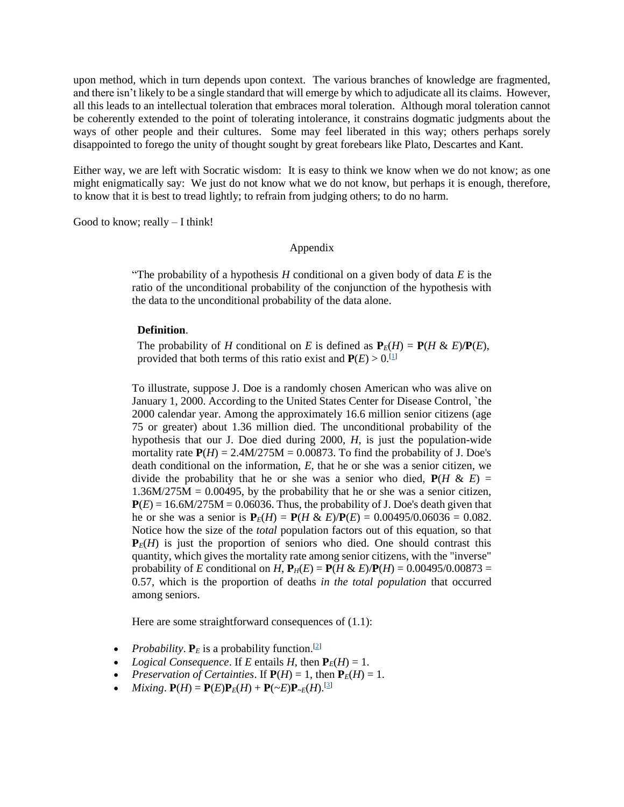upon method, which in turn depends upon context. The various branches of knowledge are fragmented, and there isn't likely to be a single standard that will emerge by which to adjudicate all its claims. However, all this leads to an intellectual toleration that embraces moral toleration. Although moral toleration cannot be coherently extended to the point of tolerating intolerance, it constrains dogmatic judgments about the ways of other people and their cultures. Some may feel liberated in this way; others perhaps sorely disappointed to forego the unity of thought sought by great forebears like Plato, Descartes and Kant.

Either way, we are left with Socratic wisdom: It is easy to think we know when we do not know; as one might enigmatically say: We just do not know what we do not know, but perhaps it is enough, therefore, to know that it is best to tread lightly; to refrain from judging others; to do no harm.

Good to know; really – I think!

#### Appendix

"The probability of a hypothesis *H* conditional on a given body of data *E* is the ratio of the unconditional probability of the conjunction of the hypothesis with the data to the unconditional probability of the data alone.

#### **Definition**.

The probability of *H* conditional on *E* is defined as  $P_E(H) = P(H \& E)/P(E)$ , provided that both terms of this ratio exist and  $P(E) > 0$ .<sup>[\[1\]](file:///C:/backup/Backup/Administrator/Documents/Oxford%20Round%20Table%202018/notes.html%231)</sup>

To illustrate, suppose J. Doe is a randomly chosen American who was alive on January 1, 2000. According to the United States Center for Disease Control, `the 2000 calendar year. Among the approximately 16.6 million senior citizens (age 75 or greater) about 1.36 million died. The unconditional probability of the hypothesis that our J. Doe died during 2000, *H*, is just the population-wide mortality rate  $P(H) = 2.4M/275M = 0.00873$ . To find the probability of J. Doe's death conditional on the information, *E*, that he or she was a senior citizen, we divide the probability that he or she was a senior who died,  $P(H \& E)$  =  $1.36M/275M = 0.00495$ , by the probability that he or she was a senior citizen,  $P(E) = 16.6M/275M = 0.06036$ . Thus, the probability of J. Doe's death given that he or she was a senior is  $P_E(H) = P(H \& E)/P(E) = 0.00495/0.06036 = 0.082$ . Notice how the size of the *total* population factors out of this equation, so that  $P_E(H)$  is just the proportion of seniors who died. One should contrast this quantity, which gives the mortality rate among senior citizens, with the "inverse" probability of *E* conditional on *H*,  $P_H(E) = P(H \& E)/P(H) = 0.00495/0.00873 =$ 0.57, which is the proportion of deaths *in the total population* that occurred among seniors.

Here are some straightforward consequences of  $(1.1)$ :

- *Probability*.  $P_E$  is a probability function.<sup>[\[2\]](file:///C:/backup/Backup/Administrator/Documents/Oxford%20Round%20Table%202018/notes.html%232)</sup>
- *Logical Consequence*. If *E* entails *H*, then  $P_E(H) = 1$ .
- *Preservation of Certainties.* If  $P(H) = 1$ , then  $P_E(H) = 1$ .
- *Mixing*.  $P(H) = P(E)P_E(H) + P(\sim E)P_{\sim E}(H)$ . [\[3\]](file:///C:/backup/Backup/Administrator/Documents/Oxford%20Round%20Table%202018/notes.html%233)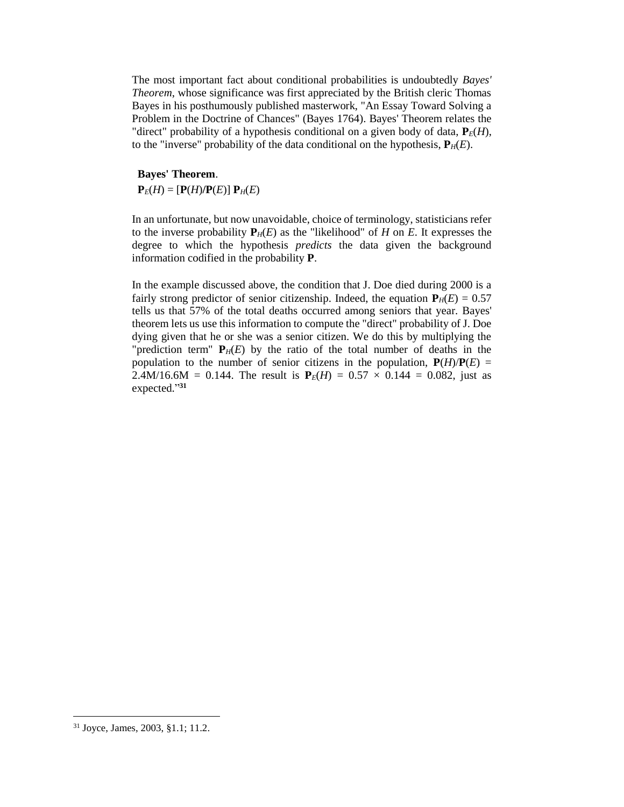The most important fact about conditional probabilities is undoubtedly *Bayes' Theorem*, whose significance was first appreciated by the British cleric Thomas Bayes in his posthumously published masterwork, "An Essay Toward Solving a Problem in the Doctrine of Chances" (Bayes 1764). Bayes' Theorem relates the "direct" probability of a hypothesis conditional on a given body of data,  $P_E(H)$ , to the "inverse" probability of the data conditional on the hypothesis,  $P_H(E)$ .

# **Bayes' Theorem**.

 $P_E(H) = [P(H)/P(E)] P_H(E)$ 

In an unfortunate, but now unavoidable, choice of terminology, statisticians refer to the inverse probability  $P_H(E)$  as the "likelihood" of *H* on *E*. It expresses the degree to which the hypothesis *predicts* the data given the background information codified in the probability **P**.

In the example discussed above, the condition that J. Doe died during 2000 is a fairly strong predictor of senior citizenship. Indeed, the equation  $P_H(E) = 0.57$ tells us that 57% of the total deaths occurred among seniors that year. Bayes' theorem lets us use this information to compute the "direct" probability of J. Doe dying given that he or she was a senior citizen. We do this by multiplying the "prediction term"  $P_H(E)$  by the ratio of the total number of deaths in the population to the number of senior citizens in the population,  $P(H)/P(E)$  = 2.4M/16.6M = 0.144. The result is  $P_E(H) = 0.57 \times 0.144 = 0.082$ , just as expected." **31**

<sup>31</sup> Joyce, James, 2003, §1.1; 11.2.